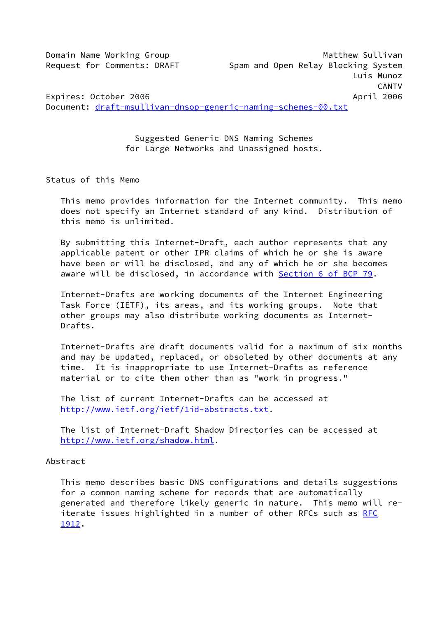Domain Name Working Group Matthew Sullivan Request for Comments: DRAFT Spam and Open Relay Blocking System Luis Munoz CANTV Expires: October 2006 April 2006 Document: [draft-msullivan-dnsop-generic-naming-schemes-00.txt](https://datatracker.ietf.org/doc/pdf/draft-msullivan-dnsop-generic-naming-schemes-00.txt)

> Suggested Generic DNS Naming Schemes for Large Networks and Unassigned hosts.

Status of this Memo

 This memo provides information for the Internet community. This memo does not specify an Internet standard of any kind. Distribution of this memo is unlimited.

 By submitting this Internet-Draft, each author represents that any applicable patent or other IPR claims of which he or she is aware have been or will be disclosed, and any of which he or she becomes aware will be disclosed, in accordance with Section [6 of BCP 79.](https://datatracker.ietf.org/doc/pdf/bcp79#section-6)

 Internet-Drafts are working documents of the Internet Engineering Task Force (IETF), its areas, and its working groups. Note that other groups may also distribute working documents as Internet- Drafts.

 Internet-Drafts are draft documents valid for a maximum of six months and may be updated, replaced, or obsoleted by other documents at any time. It is inappropriate to use Internet-Drafts as reference material or to cite them other than as "work in progress."

 The list of current Internet-Drafts can be accessed at <http://www.ietf.org/ietf/1id-abstracts.txt>.

 The list of Internet-Draft Shadow Directories can be accessed at <http://www.ietf.org/shadow.html>.

### Abstract

 This memo describes basic DNS configurations and details suggestions for a common naming scheme for records that are automatically generated and therefore likely generic in nature. This memo will re- iterate issues highlighted in a number of other [RFC](https://datatracker.ietf.org/doc/pdf/rfc1912)s such as RFC [1912](https://datatracker.ietf.org/doc/pdf/rfc1912).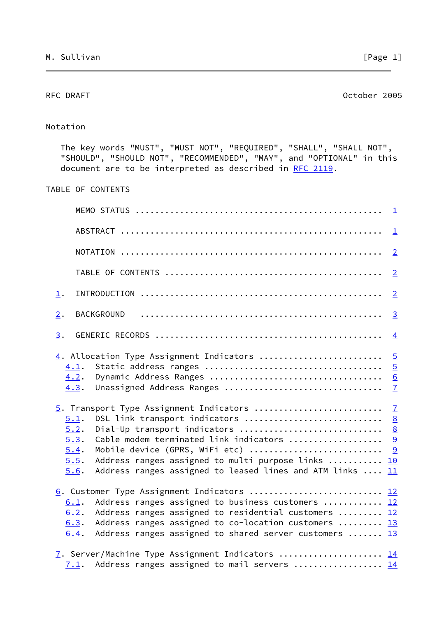<span id="page-1-0"></span>RFC DRAFT CONSERVERS AND RESERVE AT A SERIES OF DRAFT CONSERVERS AND RESERVE ASSESSMENT OF DRAFT CONSERVERS AND DRAFT CONSERVERS AND RESERVE AND RESERVE AND RESERVE AND RESERVE AND RESERVE AND RESERVE AND RESERVE AND RESER

# Notation

 The key words "MUST", "MUST NOT", "REQUIRED", "SHALL", "SHALL NOT", "SHOULD", "SHOULD NOT", "RECOMMENDED", "MAY", and "OPTIONAL" in this document are to be interpreted as described in [RFC 2119.](https://datatracker.ietf.org/doc/pdf/rfc2119)

# TABLE OF CONTENTS

|                                                                                                                                                                                                                                                                                                           | $\perp$                                                                                                    |
|-----------------------------------------------------------------------------------------------------------------------------------------------------------------------------------------------------------------------------------------------------------------------------------------------------------|------------------------------------------------------------------------------------------------------------|
|                                                                                                                                                                                                                                                                                                           | $\overline{2}$                                                                                             |
|                                                                                                                                                                                                                                                                                                           | $\overline{2}$                                                                                             |
| $\perp$ .                                                                                                                                                                                                                                                                                                 | $\overline{2}$                                                                                             |
| <b>BACKGROUND</b><br>$\overline{2}$ .                                                                                                                                                                                                                                                                     | $\overline{3}$                                                                                             |
| 3.                                                                                                                                                                                                                                                                                                        | $\overline{4}$                                                                                             |
| $\underline{4}$ . Allocation Type Assignment Indicators<br>4.1.<br>4.2.<br>Unassigned Address Ranges<br>4.3.<br>5. Transport Type Assignment Indicators<br>DSL link transport indicators<br>5.1.                                                                                                          | $\overline{5}$<br>$\overline{5}$<br>$\underline{6}$<br>$\overline{1}$<br>$\overline{1}$<br>$\underline{8}$ |
| Dial-Up transport indicators<br>5.2.<br>Cable modem terminated link indicators<br>5.3.<br>Mobile device (GPRS, WiFi etc)<br>5.4.<br>5.5.<br>Address ranges assigned to multi purpose links<br>Address ranges assigned to leased lines and ATM links $\dots$ 11<br>5.6.                                    | $\underline{8}$<br>9<br>9<br>10                                                                            |
| 6. Customer Type Assignment Indicators  12<br>Address ranges assigned to business customers  12<br>6.1.<br>Address ranges assigned to residential customers  12<br>6.2.<br>Address ranges assigned to co-location customers  13<br>6.3.<br>Address ranges assigned to shared server customers  13<br>6.4. |                                                                                                            |
| 7. Server/Machine Type Assignment Indicators  14<br>Address ranges assigned to mail servers  14<br>7.1.                                                                                                                                                                                                   |                                                                                                            |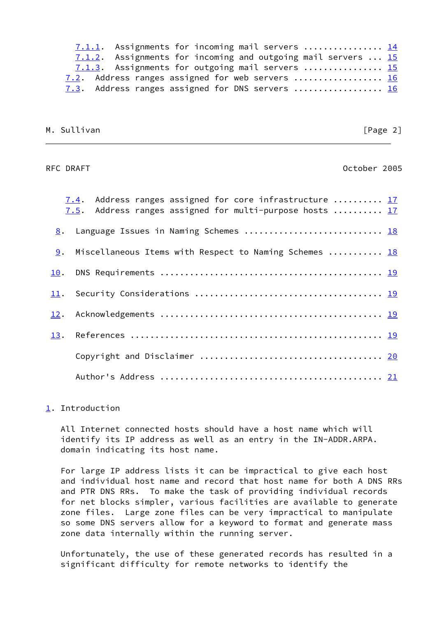|  | 7.1.1. Assignments for incoming mail servers  14              |  |
|--|---------------------------------------------------------------|--|
|  | 7.1.2. Assignments for incoming and outgoing mail servers  15 |  |
|  | 7.1.3. Assignments for outgoing mail servers  15              |  |
|  | 7.2. Address ranges assigned for web servers  16              |  |
|  | 7.3. Address ranges assigned for DNS servers  16              |  |

|  |  | M. Sullivan |
|--|--|-------------|
|  |  |             |

### $[Page 2]$

# <span id="page-2-1"></span>RFC DRAFT October 2005

|     | 7.4. Address ranges assigned for core infrastructure  17<br>7.5. Address ranges assigned for multi-purpose hosts  17 |  |
|-----|----------------------------------------------------------------------------------------------------------------------|--|
| 8.  | Language Issues in Naming Schemes  18                                                                                |  |
|     | 9. Miscellaneous Items with Respect to Naming Schemes  18                                                            |  |
| 10. |                                                                                                                      |  |
| 11. |                                                                                                                      |  |
| 12. |                                                                                                                      |  |
|     |                                                                                                                      |  |
|     |                                                                                                                      |  |
|     |                                                                                                                      |  |

## <span id="page-2-0"></span>[1](#page-2-0). Introduction

 All Internet connected hosts should have a host name which will identify its IP address as well as an entry in the IN-ADDR.ARPA. domain indicating its host name.

 For large IP address lists it can be impractical to give each host and individual host name and record that host name for both A DNS RRs and PTR DNS RRs. To make the task of providing individual records for net blocks simpler, various facilities are available to generate zone files. Large zone files can be very impractical to manipulate so some DNS servers allow for a keyword to format and generate mass zone data internally within the running server.

 Unfortunately, the use of these generated records has resulted in a significant difficulty for remote networks to identify the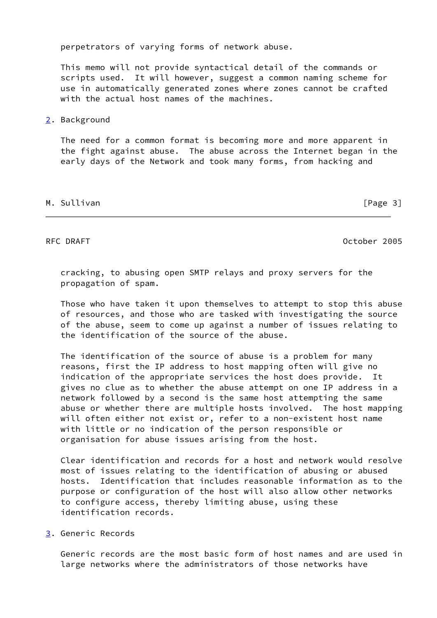perpetrators of varying forms of network abuse.

 This memo will not provide syntactical detail of the commands or scripts used. It will however, suggest a common naming scheme for use in automatically generated zones where zones cannot be crafted with the actual host names of the machines.

### <span id="page-3-0"></span>[2](#page-3-0). Background

 The need for a common format is becoming more and more apparent in the fight against abuse. The abuse across the Internet began in the early days of the Network and took many forms, from hacking and

### M. Sullivan [Page 3]

<span id="page-3-2"></span>RFC DRAFT October 2005

 cracking, to abusing open SMTP relays and proxy servers for the propagation of spam.

 Those who have taken it upon themselves to attempt to stop this abuse of resources, and those who are tasked with investigating the source of the abuse, seem to come up against a number of issues relating to the identification of the source of the abuse.

 The identification of the source of abuse is a problem for many reasons, first the IP address to host mapping often will give no indication of the appropriate services the host does provide. It gives no clue as to whether the abuse attempt on one IP address in a network followed by a second is the same host attempting the same abuse or whether there are multiple hosts involved. The host mapping will often either not exist or, refer to a non-existent host name with little or no indication of the person responsible or organisation for abuse issues arising from the host.

 Clear identification and records for a host and network would resolve most of issues relating to the identification of abusing or abused hosts. Identification that includes reasonable information as to the purpose or configuration of the host will also allow other networks to configure access, thereby limiting abuse, using these identification records.

### <span id="page-3-1"></span>[3](#page-3-1). Generic Records

 Generic records are the most basic form of host names and are used in large networks where the administrators of those networks have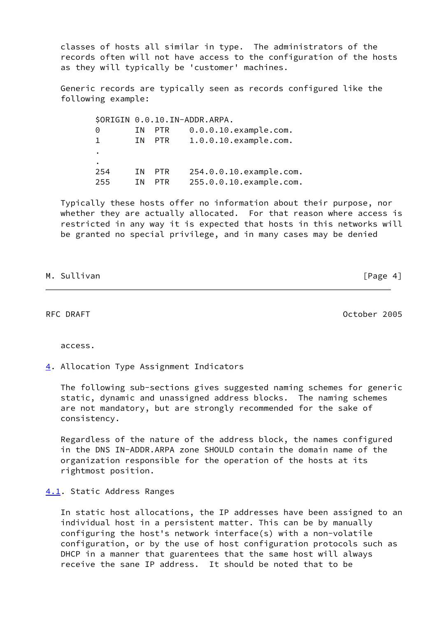classes of hosts all similar in type. The administrators of the records often will not have access to the configuration of the hosts as they will typically be 'customer' machines.

 Generic records are typically seen as records configured like the following example:

 \$ORIGIN 0.0.10.IN-ADDR.ARPA. 0 IN PTR 0.0.0.10.example.com. 1 IN PTR 1.0.0.10.example.com. . . 254 IN PTR 254.0.0.10.example.com. 255 IN PTR 255.0.0.10.example.com.

 Typically these hosts offer no information about their purpose, nor whether they are actually allocated. For that reason where access is restricted in any way it is expected that hosts in this networks will be granted no special privilege, and in many cases may be denied

| M. Sullivan |  |  |
|-------------|--|--|

 $[Page 4]$ 

<span id="page-4-1"></span>RFC DRAFT October 2005

access.

<span id="page-4-0"></span>[4](#page-4-0). Allocation Type Assignment Indicators

 The following sub-sections gives suggested naming schemes for generic static, dynamic and unassigned address blocks. The naming schemes are not mandatory, but are strongly recommended for the sake of consistency.

 Regardless of the nature of the address block, the names configured in the DNS IN-ADDR.ARPA zone SHOULD contain the domain name of the organization responsible for the operation of the hosts at its rightmost position.

## <span id="page-4-2"></span>[4.1](#page-4-2). Static Address Ranges

 In static host allocations, the IP addresses have been assigned to an individual host in a persistent matter. This can be by manually configuring the host's network interface(s) with a non-volatile configuration, or by the use of host configuration protocols such as DHCP in a manner that guarentees that the same host will always receive the sane IP address. It should be noted that to be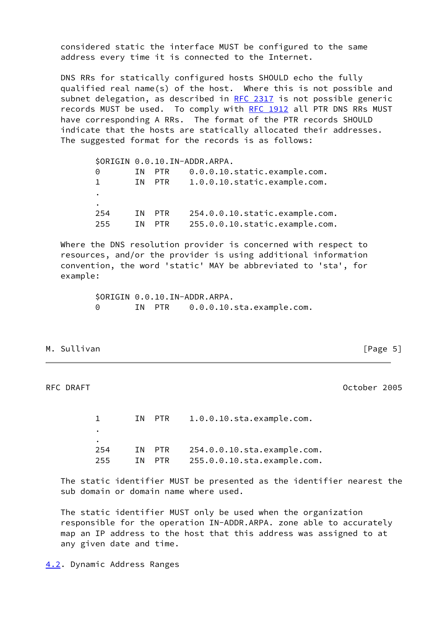considered static the interface MUST be configured to the same address every time it is connected to the Internet.

 DNS RRs for statically configured hosts SHOULD echo the fully qualified real name(s) of the host. Where this is not possible and subnet delegation, as described in [RFC 2317](https://datatracker.ietf.org/doc/pdf/rfc2317) is not possible generic records MUST be used. To comply with [RFC 1912](https://datatracker.ietf.org/doc/pdf/rfc1912) all PTR DNS RRs MUST have corresponding A RRs. The format of the PTR records SHOULD indicate that the hosts are statically allocated their addresses. The suggested format for the records is as follows:

|              |    |            | \$ORIGIN 0.0.10.IN-ADDR.ARPA.  |
|--------------|----|------------|--------------------------------|
| 0            | ΙN | <b>PTR</b> | 0.0.0.10.static.example.com.   |
| $\mathbf{1}$ | ΙN | PTR        | 1.0.0.10.static.example.com.   |
| ٠            |    |            |                                |
| ٠            |    |            |                                |
| 254          | ΙN | <b>PTR</b> | 254.0.0.10.static.example.com. |
| 255          | ΙN | PTR.       | 255.0.0.10.static.example.com. |

 Where the DNS resolution provider is concerned with respect to resources, and/or the provider is using additional information convention, the word 'static' MAY be abbreviated to 'sta', for example:

> \$ORIGIN 0.0.10.IN-ADDR.ARPA. 0 IN PTR 0.0.0.10.sta.example.com.

M. Sullivan **Manufather Community** Change 5<sup>1</sup>

<span id="page-5-1"></span>RFC DRAFT October 2005

1 IN PTR 1.0.0.10.sta.example.com. . . 254 IN PTR 254.0.0.10.sta.example.com. 255 IN PTR 255.0.0.10.sta.example.com.

 The static identifier MUST be presented as the identifier nearest the sub domain or domain name where used.

 The static identifier MUST only be used when the organization responsible for the operation IN-ADDR.ARPA. zone able to accurately map an IP address to the host that this address was assigned to at any given date and time.

<span id="page-5-0"></span>[4.2](#page-5-0). Dynamic Address Ranges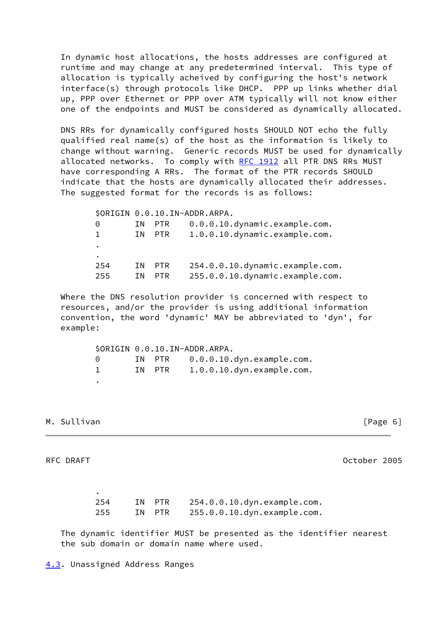In dynamic host allocations, the hosts addresses are configured at runtime and may change at any predetermined interval. This type of allocation is typically acheived by configuring the host's network interface(s) through protocols like DHCP. PPP up links whether dial up, PPP over Ethernet or PPP over ATM typically will not know either one of the endpoints and MUST be considered as dynamically allocated.

 DNS RRs for dynamically configured hosts SHOULD NOT echo the fully qualified real name(s) of the host as the information is likely to change without warning. Generic records MUST be used for dynamically allocated networks. To comply with [RFC 1912](https://datatracker.ietf.org/doc/pdf/rfc1912) all PTR DNS RRs MUST have corresponding A RRs. The format of the PTR records SHOULD indicate that the hosts are dynamically allocated their addresses. The suggested format for the records is as follows:

 \$ORIGIN 0.0.10.IN-ADDR.ARPA. 0 IN PTR 0.0.0.10.dynamic.example.com. 1 IN PTR 1.0.0.10.dynamic.example.com. . . 254 IN PTR 254.0.0.10.dynamic.example.com. 255 IN PTR 255.0.0.10.dynamic.example.com.

 Where the DNS resolution provider is concerned with respect to resources, and/or the provider is using additional information convention, the word 'dynamic' MAY be abbreviated to 'dyn', for example:

 \$ORIGIN 0.0.10.IN-ADDR.ARPA. 0 IN PTR 0.0.0.10.dyn.example.com. 1 IN PTR 1.0.0.10.dyn.example.com. .

## M. Sullivan [Page 6]

.

<span id="page-6-1"></span>RFC DRAFT **CONSERVATION** CONTINUES AND RESERVE THE RESERVE OCTOBER 2005

 254 IN PTR 254.0.0.10.dyn.example.com. 255 IN PTR 255.0.0.10.dyn.example.com.

<span id="page-6-0"></span> The dynamic identifier MUST be presented as the identifier nearest the sub domain or domain name where used.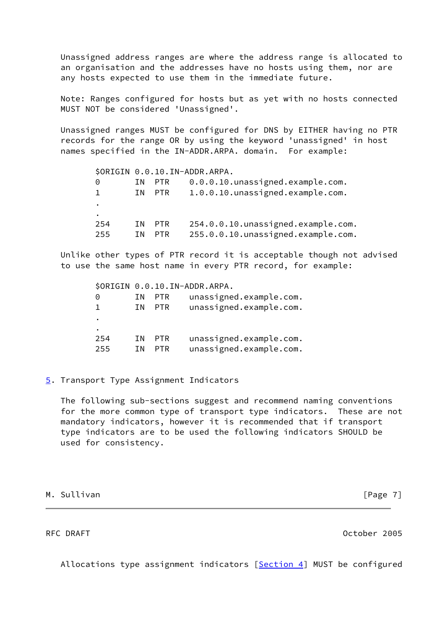Unassigned address ranges are where the address range is allocated to an organisation and the addresses have no hosts using them, nor are any hosts expected to use them in the immediate future.

 Note: Ranges configured for hosts but as yet with no hosts connected MUST NOT be considered 'Unassigned'.

 Unassigned ranges MUST be configured for DNS by EITHER having no PTR records for the range OR by using the keyword 'unassigned' in host names specified in the IN-ADDR.ARPA. domain. For example:

|     |     |            | \$ORIGIN 0.0.10.IN-ADDR.ARPA.        |
|-----|-----|------------|--------------------------------------|
| 0   | ΤN. | PTR        | 0.0.0.10. unassigned.example.com.    |
| Т.  | T N | PTR        | 1.0.0.10.unassigned.example.com.     |
| ٠   |     |            |                                      |
| ٠   |     |            |                                      |
| 254 | T N | PTR        | 254.0.0.10. unassigned. example.com. |
| 255 | ΙN  | <b>PTR</b> | 255.0.0.10.unassigned.example.com.   |

 Unlike other types of PTR record it is acceptable though not advised to use the same host name in every PTR record, for example:

 \$ORIGIN 0.0.10.IN-ADDR.ARPA. 0 IN PTR unassigned.example.com. 1 IN PTR unassigned.example.com. . . 254 IN PTR unassigned.example.com. 255 IN PTR unassigned.example.com.

<span id="page-7-0"></span>[5](#page-7-0). Transport Type Assignment Indicators

 The following sub-sections suggest and recommend naming conventions for the more common type of transport type indicators. These are not mandatory indicators, however it is recommended that if transport type indicators are to be used the following indicators SHOULD be used for consistency.

M. Sullivan **Manufather Community** Change 7 and The Community Change 7 and The Community Change 7 and The Community Change 7 and The Community Change 7 and The Community Change 7 and The Community Change 7 and The Communit

<span id="page-7-1"></span>

RFC DRAFT October 2005

Allocations type assignment indicators [\[Section 4](#page-4-0)] MUST be configured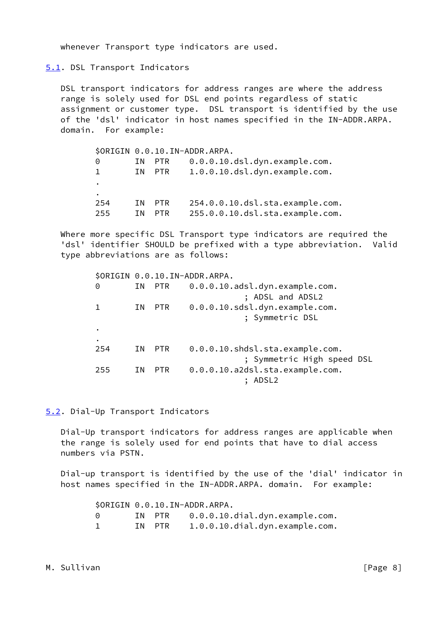whenever Transport type indicators are used.

<span id="page-8-0"></span>[5.1](#page-8-0). DSL Transport Indicators

 DSL transport indicators for address ranges are where the address range is solely used for DSL end points regardless of static assignment or customer type. DSL transport is identified by the use of the 'dsl' indicator in host names specified in the IN-ADDR.ARPA. domain. For example:

|              |     |            | \$ORIGIN 0.0.10.IN-ADDR.ARPA.    |
|--------------|-----|------------|----------------------------------|
| $\Theta$     | ΙN. | PTR        | $0.0.0.10.$ dsl.dyn.example.com. |
| $\mathbf{1}$ | T N | PTR        | 1.0.0.10.dsl.dyn.example.com.    |
| ٠            |     |            |                                  |
| ٠            |     |            |                                  |
| 254          | T N | <b>PTR</b> | 254.0.0.10.dsl.sta.example.com.  |
| 255          | ΤN  | <b>PTR</b> | 255.0.0.10.dsl.sta.example.com.  |

 Where more specific DSL Transport type indicators are required the 'dsl' identifier SHOULD be prefixed with a type abbreviation. Valid type abbreviations are as follows:

|     |     |        | \$ORIGIN 0.0.10.IN-ADDR.ARPA.   |
|-----|-----|--------|---------------------------------|
| 0   |     | IN PTR | 0.0.0.10.adsl.dyn.example.com.  |
|     |     |        | ; ADSL and ADSL2                |
|     | IN. | PTR    | 0.0.0.10.sdsl.dyn.example.com.  |
|     |     |        | ; Symmetric DSL                 |
|     |     |        |                                 |
|     |     |        |                                 |
| 254 | IN. | PTR.   | 0.0.0.10.shdsl.sta.example.com. |
|     |     |        | ; Symmetric High speed DSL      |
| 255 | ΙN  | PTR    | 0.0.0.10.a2dsl.sta.example.com. |
|     |     |        |                                 |

<span id="page-8-1"></span>[5.2](#page-8-1). Dial-Up Transport Indicators

 Dial-Up transport indicators for address ranges are applicable when the range is solely used for end points that have to dial access numbers via PSTN.

 Dial-up transport is identified by the use of the 'dial' indicator in host names specified in the IN-ADDR.ARPA. domain. For example:

|  |        | \$ORIGIN 0.0.10.IN-ADDR.ARPA.         |
|--|--------|---------------------------------------|
|  |        | IN PTR 0.0.0.10.dial.dyn.example.com. |
|  | IN PTR | 1.0.0.10.dial.dyn.example.com.        |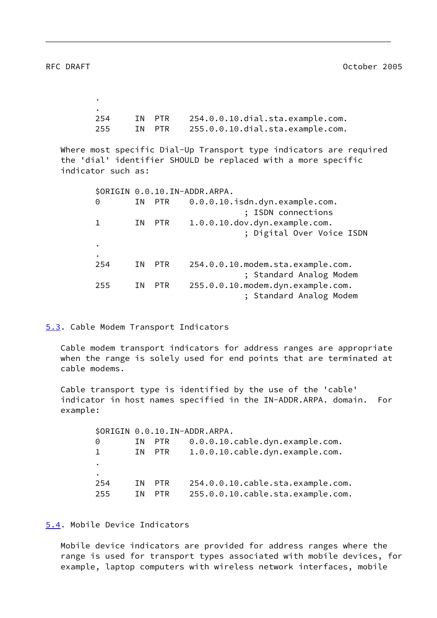<span id="page-9-1"></span>.

 . 254 IN PTR 254.0.0.10.dial.sta.example.com. 255 IN PTR 255.0.0.10.dial.sta.example.com.

 Where most specific Dial-Up Transport type indicators are required the 'dial' identifier SHOULD be replaced with a more specific indicator such as:

|           |           |            | \$ORIGIN 0.0.10.IN-ADDR.ARPA.      |
|-----------|-----------|------------|------------------------------------|
| 0         |           | IN PTR     | 0.0.0.10.isdn.dyn.example.com.     |
|           |           |            | ISDN connections                   |
| 1.        | ΙN        | PTR        | 1.0.0.10.dov.dyn.example.com.      |
|           |           |            | ; Digital Over Voice ISDN          |
| $\bullet$ |           |            |                                    |
|           |           |            |                                    |
|           | 254<br>ΙN | <b>PTR</b> | 254.0.0.10. modem.sta.example.com. |
|           |           |            | ; Standard Analog Modem            |
|           | 255<br>ΙN | <b>PTR</b> | 255.0.0.10. modem.dyn.example.com. |
|           |           |            | ; Standard Analog Modem            |

<span id="page-9-0"></span>[5.3](#page-9-0). Cable Modem Transport Indicators

 Cable modem transport indicators for address ranges are appropriate when the range is solely used for end points that are terminated at cable modems.

 Cable transport type is identified by the use of the 'cable' indicator in host names specified in the IN-ADDR.ARPA. domain. For example:

 \$ORIGIN 0.0.10.IN-ADDR.ARPA. 0 IN PTR 0.0.0.10.cable.dyn.example.com. 1 IN PTR 1.0.0.10.cable.dyn.example.com. . . 254 IN PTR 254.0.0.10.cable.sta.example.com. 255 IN PTR 255.0.0.10.cable.sta.example.com.

<span id="page-9-2"></span>[5.4](#page-9-2). Mobile Device Indicators

 Mobile device indicators are provided for address ranges where the range is used for transport types associated with mobile devices, for example, laptop computers with wireless network interfaces, mobile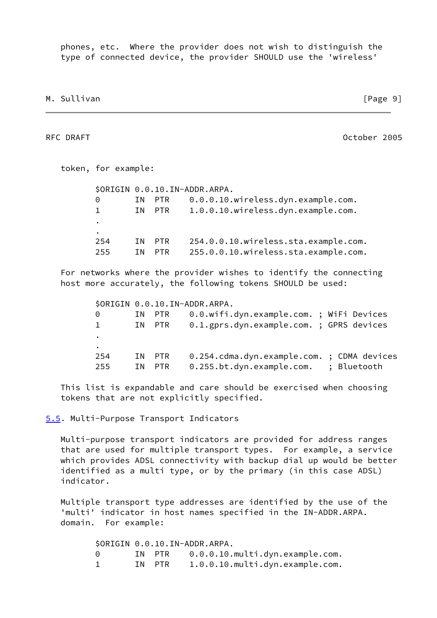phones, etc. Where the provider does not wish to distinguish the type of connected device, the provider SHOULD use the 'wireless'

M. Sullivan **Manufather Community** Change 91

<span id="page-10-1"></span>RFC DRAFT October 2005

 token, for example: \$ORIGIN 0.0.10.IN-ADDR.ARPA. 0 IN PTR 0.0.0.10.wireless.dyn.example.com. 1 IN PTR 1.0.0.10.wireless.dyn.example.com. . . 254 IN PTR 254.0.0.10.wireless.sta.example.com. 255 IN PTR 255.0.0.10.wireless.sta.example.com.

 For networks where the provider wishes to identify the connecting host more accurately, the following tokens SHOULD be used:

|           |     |        | \$ORIGIN 0.0.10.IN-ADDR.ARPA.              |  |
|-----------|-----|--------|--------------------------------------------|--|
| 0         |     | IN PTR | 0.0.wifi.dyn.example.com. ; WiFi Devices   |  |
| 1.        |     | IN PTR | 0.1.gprs.dyn.example.com. ; GPRS devices   |  |
| $\bullet$ |     |        |                                            |  |
| ٠         |     |        |                                            |  |
| 254       |     | IN PTR | 0.254.cdma.dyn.example.com. ; CDMA devices |  |
| 255       | T N | PTR    | 0.255.bt.dyn.example.com. ; Bluetooth      |  |

 This list is expandable and care should be exercised when choosing tokens that are not explicitly specified.

<span id="page-10-0"></span>[5.5](#page-10-0). Multi-Purpose Transport Indicators

 Multi-purpose transport indicators are provided for address ranges that are used for multiple transport types. For example, a service which provides ADSL connectivity with backup dial up would be better identified as a multi type, or by the primary (in this case ADSL) indicator.

 Multiple transport type addresses are identified by the use of the 'multi' indicator in host names specified in the IN-ADDR.ARPA. domain. For example:

> \$ORIGIN 0.0.10.IN-ADDR.ARPA. 0 IN PTR 0.0.0.10.multi.dyn.example.com. 1 IN PTR 1.0.0.10.multi.dyn.example.com.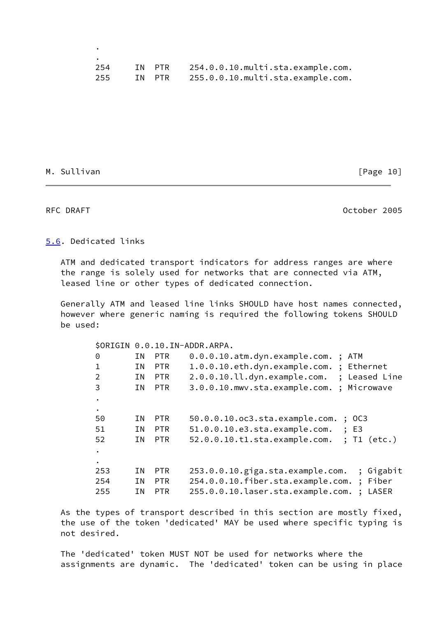| 254 | IN PTR | 254.0.0.10.multi.sta.example.com.        |
|-----|--------|------------------------------------------|
| 255 |        | IN PTR 255.0.0.10.multi.sta.example.com. |

M. Sullivan [Page 10]

.

<span id="page-11-1"></span>RFC DRAFT CONSERVERS AND RESERVE AT A SERIES OF DRAFT CONSERVERS AND RESERVE AT A SERIES OF DRAFT CONSERVERS AND DRAFT CONSERVERS AND RESERVE A SERIES OF DRAFT CONSERVERS AND RESERVE A SERIES OF DRAFT CONSERVERS AND RESERV

# <span id="page-11-0"></span>[5.6](#page-11-0). Dedicated links

 ATM and dedicated transport indicators for address ranges are where the range is solely used for networks that are connected via ATM, leased line or other types of dedicated connection.

 Generally ATM and leased line links SHOULD have host names connected, however where generic naming is required the following tokens SHOULD be used:

|                |    |            | \$ORIGIN 0.0.10.IN-ADDR.ARPA.                                |
|----------------|----|------------|--------------------------------------------------------------|
| 0              | ΙN | PTR        | 0.0.0.10.atm.dyn.example.com.; ATM                           |
| 1              | ΙN | <b>PTR</b> | 1.0.0.10.eth.dyn.example.com.; Ethernet                      |
| $\overline{2}$ | ΙN | <b>PTR</b> | 2.0.0.10.ll.dyn.example.com. ; Leased Line                   |
| 3              | ΙN | <b>PTR</b> | 3.0.0.10. mwv.sta.example.com.; Microwave                    |
| $\bullet$      |    |            |                                                              |
| $\bullet$      |    |            |                                                              |
| 50             | ΙN | <b>PTR</b> | $50.0.0.10.0c3.sta-example.com.$<br>$\frac{1}{2}$ OC3        |
| 51             | ΙN | <b>PTR</b> | 51.0.0.10.e3.sta.example.com. ; E3                           |
| 52             | ΙN | <b>PTR</b> | 52.0.0.10.t1.sta.example.com. ; T1 (etc.)                    |
| $\bullet$      |    |            |                                                              |
| $\bullet$      |    |            |                                                              |
| 253            | ΙN | <b>PTR</b> | 253.0.0.10.giga.sta.example.com.<br>; Gigabit                |
| 254            | ΙN | <b>PTR</b> | ; Fiber<br>254.0.0.10.fiber.sta.example.com.                 |
| 255            | ΙN | <b>PTR</b> | 255.0.0.10.laser.sta.example.com.<br>LASER<br>$\ddot{\cdot}$ |
|                |    |            |                                                              |

 As the types of transport described in this section are mostly fixed, the use of the token 'dedicated' MAY be used where specific typing is not desired.

 The 'dedicated' token MUST NOT be used for networks where the assignments are dynamic. The 'dedicated' token can be using in place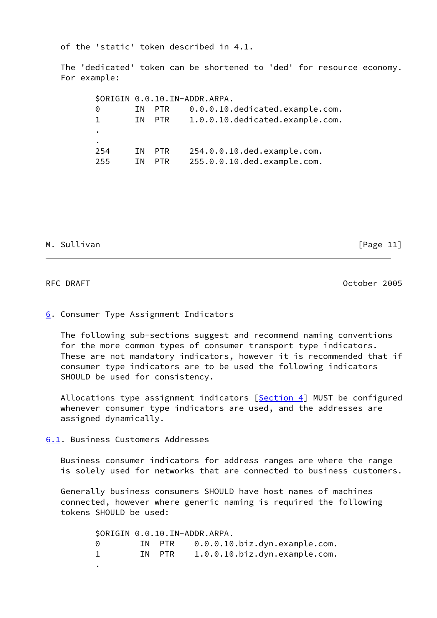of the 'static' token described in 4.1.

 The 'dedicated' token can be shortened to 'ded' for resource economy. For example:

 \$ORIGIN 0.0.10.IN-ADDR.ARPA. 0 IN PTR 0.0.0.10.dedicated.example.com. 1 IN PTR 1.0.0.10.dedicated.example.com. . . 254 IN PTR 254.0.0.10.ded.example.com. 255 IN PTR 255.0.0.10.ded.example.com.

# M. Sullivan [Page 11]

<span id="page-12-1"></span>RFC DRAFT October 2005

### <span id="page-12-0"></span>[6](#page-12-0). Consumer Type Assignment Indicators

 The following sub-sections suggest and recommend naming conventions for the more common types of consumer transport type indicators. These are not mandatory indicators, however it is recommended that if consumer type indicators are to be used the following indicators SHOULD be used for consistency.

 Allocations type assignment indicators [\[Section 4](#page-4-0)] MUST be configured whenever consumer type indicators are used, and the addresses are assigned dynamically.

### <span id="page-12-2"></span>[6.1](#page-12-2). Business Customers Addresses

 Business consumer indicators for address ranges are where the range is solely used for networks that are connected to business customers.

 Generally business consumers SHOULD have host names of machines connected, however where generic naming is required the following tokens SHOULD be used:

 \$ORIGIN 0.0.10.IN-ADDR.ARPA. 0 IN PTR 0.0.0.10.biz.dyn.example.com. 1 IN PTR 1.0.0.10.biz.dyn.example.com. .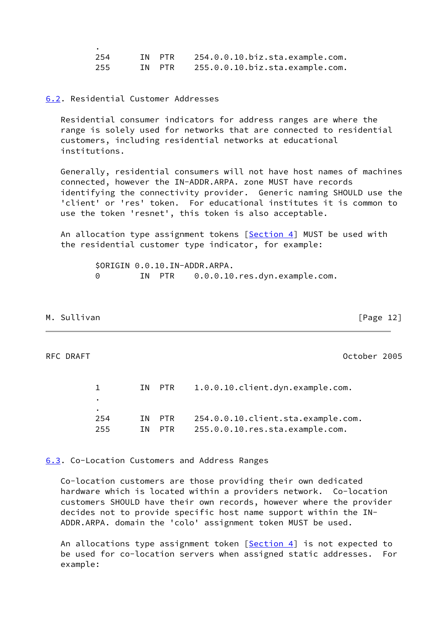| 254 | IN PTR | 254.0.0.10.biz.sta.example.com. |
|-----|--------|---------------------------------|
| 255 | IN PTR | 255.0.0.10.biz.sta.example.com. |

## <span id="page-13-0"></span>[6.2](#page-13-0). Residential Customer Addresses

 Residential consumer indicators for address ranges are where the range is solely used for networks that are connected to residential customers, including residential networks at educational institutions.

 Generally, residential consumers will not have host names of machines connected, however the IN-ADDR.ARPA. zone MUST have records identifying the connectivity provider. Generic naming SHOULD use the 'client' or 'res' token. For educational institutes it is common to use the token 'resnet', this token is also acceptable.

 An allocation type assignment tokens [\[Section 4\]](#page-4-0) MUST be used with the residential customer type indicator, for example:

> \$ORIGIN 0.0.10.IN-ADDR.ARPA. 0 IN PTR 0.0.0.10.res.dyn.example.com.

## M. Sullivan [Page 12]

.

<span id="page-13-2"></span>RFC DRAFT October 2005

|     | IN PTR | 1.0.0.10.client.dyn.example.com.   |
|-----|--------|------------------------------------|
|     |        |                                    |
| ٠   |        |                                    |
| 254 | IN PTR | 254.0.0.10.client.sta.example.com. |
| 255 | TN PTR | 255.0.0.10.res.sta.example.com.    |

### <span id="page-13-1"></span>[6.3](#page-13-1). Co-Location Customers and Address Ranges

 Co-location customers are those providing their own dedicated hardware which is located within a providers network. Co-location customers SHOULD have their own records, however where the provider decides not to provide specific host name support within the IN- ADDR.ARPA. domain the 'colo' assignment token MUST be used.

An allocations type assignment token [\[Section 4\]](#page-4-0) is not expected to be used for co-location servers when assigned static addresses. For example: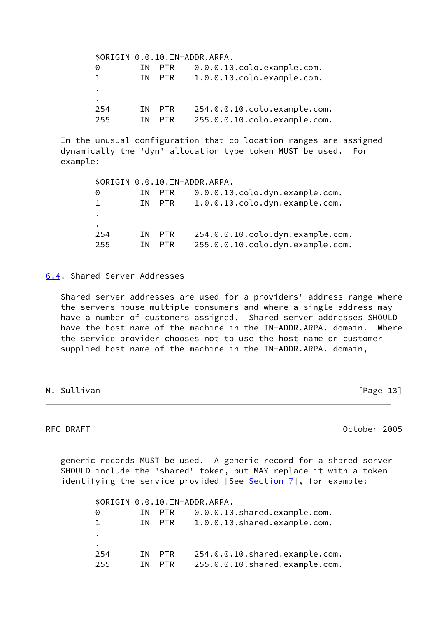|              |    |            | \$ORIGIN 0.0.10.IN-ADDR.ARPA. |
|--------------|----|------------|-------------------------------|
| 0            | ΙN | PTR.       | 0.0.0.10.colo.example.com.    |
| $\mathbf{1}$ | ΙN | <b>PTR</b> | 1.0.0.10.colo.example.com.    |
| ٠            |    |            |                               |
| ٠            |    |            |                               |
| 254          | ΙN | PTR.       | 254.0.0.10.colo.example.com.  |
| 255          | ΙN | <b>PTR</b> | 255.0.0.10.colo.example.com.  |
|              |    |            |                               |

 In the unusual configuration that co-location ranges are assigned dynamically the 'dyn' allocation type token MUST be used. For example:

|     |      |            | \$ORIGIN 0.0.10.IN-ADDR.ARPA.     |
|-----|------|------------|-----------------------------------|
| 0   | TN.  | <b>PTR</b> | $0.0.0.10$ .colo.dyn.example.com. |
|     | TN D | PTR        | 1.0.0.10.colo.dyn.example.com.    |
| ٠   |      |            |                                   |
| ٠   |      |            |                                   |
| 254 | ΙN.  | <b>PTR</b> | 254.0.0.10.colo.dyn.example.com.  |
| 255 | ΙN   | <b>PTR</b> | 255.0.0.10.colo.dyn.example.com.  |

<span id="page-14-0"></span>[6.4](#page-14-0). Shared Server Addresses

 Shared server addresses are used for a providers' address range where the servers house multiple consumers and where a single address may have a number of customers assigned. Shared server addresses SHOULD have the host name of the machine in the IN-ADDR.ARPA. domain. Where the service provider chooses not to use the host name or customer supplied host name of the machine in the IN-ADDR.ARPA. domain,

M. Sullivan [Page 13]

<span id="page-14-1"></span>RFC DRAFT **CONSERVATION** CONTINUES AND RESERVE THE RESERVE OCTOBER 2005

 generic records MUST be used. A generic record for a shared server SHOULD include the 'shared' token, but MAY replace it with a token identifying the service provided [See [Section 7\]](#page-15-0), for example:

 \$ORIGIN 0.0.10.IN-ADDR.ARPA. 0 IN PTR 0.0.0.10.shared.example.com. 1 IN PTR 1.0.0.10.shared.example.com. . . 254 IN PTR 254.0.0.10.shared.example.com. 255 IN PTR 255.0.0.10.shared.example.com.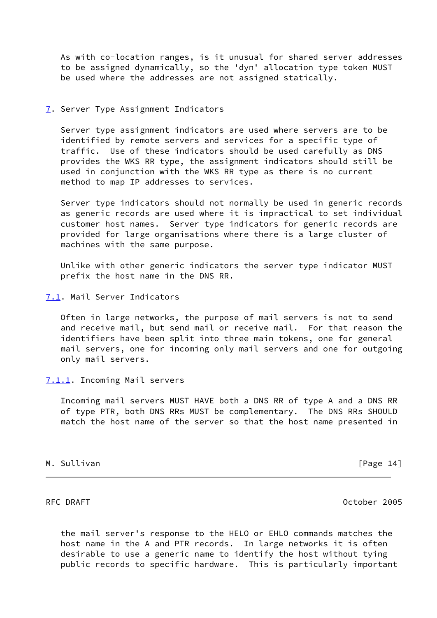As with co-location ranges, is it unusual for shared server addresses to be assigned dynamically, so the 'dyn' allocation type token MUST be used where the addresses are not assigned statically.

<span id="page-15-0"></span>[7](#page-15-0). Server Type Assignment Indicators

 Server type assignment indicators are used where servers are to be identified by remote servers and services for a specific type of traffic. Use of these indicators should be used carefully as DNS provides the WKS RR type, the assignment indicators should still be used in conjunction with the WKS RR type as there is no current method to map IP addresses to services.

 Server type indicators should not normally be used in generic records as generic records are used where it is impractical to set individual customer host names. Server type indicators for generic records are provided for large organisations where there is a large cluster of machines with the same purpose.

 Unlike with other generic indicators the server type indicator MUST prefix the host name in the DNS RR.

<span id="page-15-1"></span>[7.1](#page-15-1). Mail Server Indicators

 Often in large networks, the purpose of mail servers is not to send and receive mail, but send mail or receive mail. For that reason the identifiers have been split into three main tokens, one for general mail servers, one for incoming only mail servers and one for outgoing only mail servers.

### <span id="page-15-2"></span>[7.1.1](#page-15-2). Incoming Mail servers

 Incoming mail servers MUST HAVE both a DNS RR of type A and a DNS RR of type PTR, both DNS RRs MUST be complementary. The DNS RRs SHOULD match the host name of the server so that the host name presented in

## M. Sullivan [Page 14]

<span id="page-15-3"></span>RFC DRAFT October 2005

 the mail server's response to the HELO or EHLO commands matches the host name in the A and PTR records. In large networks it is often desirable to use a generic name to identify the host without tying public records to specific hardware. This is particularly important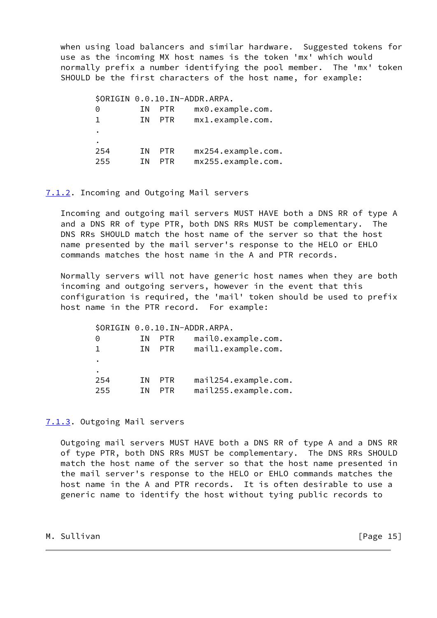when using load balancers and similar hardware. Suggested tokens for use as the incoming MX host names is the token 'mx' which would normally prefix a number identifying the pool member. The 'mx' token SHOULD be the first characters of the host name, for example:

 \$ORIGIN 0.0.10.IN-ADDR.ARPA. 0 IN PTR mx0.example.com. 1 IN PTR mx1.example.com. . . 254 IN PTR mx254.example.com. 255 IN PTR mx255.example.com.

### <span id="page-16-0"></span>[7.1.2](#page-16-0). Incoming and Outgoing Mail servers

 Incoming and outgoing mail servers MUST HAVE both a DNS RR of type A and a DNS RR of type PTR, both DNS RRs MUST be complementary. The DNS RRs SHOULD match the host name of the server so that the host name presented by the mail server's response to the HELO or EHLO commands matches the host name in the A and PTR records.

 Normally servers will not have generic host names when they are both incoming and outgoing servers, however in the event that this configuration is required, the 'mail' token should be used to prefix host name in the PTR record. For example:

 \$ORIGIN 0.0.10.IN-ADDR.ARPA. 0 IN PTR mail0.example.com. 1 IN PTR mail1.example.com. . . 254 IN PTR mail254.example.com. 255 IN PTR mail255.example.com.

## <span id="page-16-1"></span>[7.1.3](#page-16-1). Outgoing Mail servers

 Outgoing mail servers MUST HAVE both a DNS RR of type A and a DNS RR of type PTR, both DNS RRs MUST be complementary. The DNS RRs SHOULD match the host name of the server so that the host name presented in the mail server's response to the HELO or EHLO commands matches the host name in the A and PTR records. It is often desirable to use a generic name to identify the host without tying public records to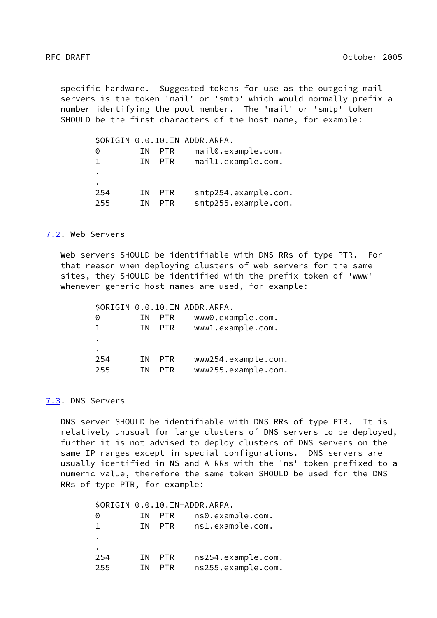<span id="page-17-1"></span> specific hardware. Suggested tokens for use as the outgoing mail servers is the token 'mail' or 'smtp' which would normally prefix a number identifying the pool member. The 'mail' or 'smtp' token SHOULD be the first characters of the host name, for example:

|     |     |            | \$ORIGIN 0.0.10.IN-ADDR.ARPA. |
|-----|-----|------------|-------------------------------|
| Θ   | ΙN. | <b>PTR</b> | mail0.example.com.            |
| Т.  | ΤN. | <b>PTR</b> | mail1.example.com.            |
| ٠   |     |            |                               |
| ٠   |     |            |                               |
| 254 | ΙN  | <b>PTR</b> | smtp254.example.com.          |
| 255 | ΙN  | PTR        | smtp255.example.com.          |

## <span id="page-17-0"></span>[7.2](#page-17-0). Web Servers

 Web servers SHOULD be identifiable with DNS RRs of type PTR. For that reason when deploying clusters of web servers for the same sites, they SHOULD be identified with the prefix token of 'www' whenever generic host names are used, for example:

 \$ORIGIN 0.0.10.IN-ADDR.ARPA. 0 IN PTR www0.example.com. 1 IN PTR www1.example.com. . . 254 IN PTR www254.example.com. 255 IN PTR www255.example.com.

## <span id="page-17-2"></span>[7.3](#page-17-2). DNS Servers

 DNS server SHOULD be identifiable with DNS RRs of type PTR. It is relatively unusual for large clusters of DNS servers to be deployed, further it is not advised to deploy clusters of DNS servers on the same IP ranges except in special configurations. DNS servers are usually identified in NS and A RRs with the 'ns' token prefixed to a numeric value, therefore the same token SHOULD be used for the DNS RRs of type PTR, for example:

 \$ORIGIN 0.0.10.IN-ADDR.ARPA. 0 IN PTR ns0.example.com. 1 IN PTR ns1.example.com. . . 254 IN PTR ns254.example.com. 255 IN PTR ns255.example.com.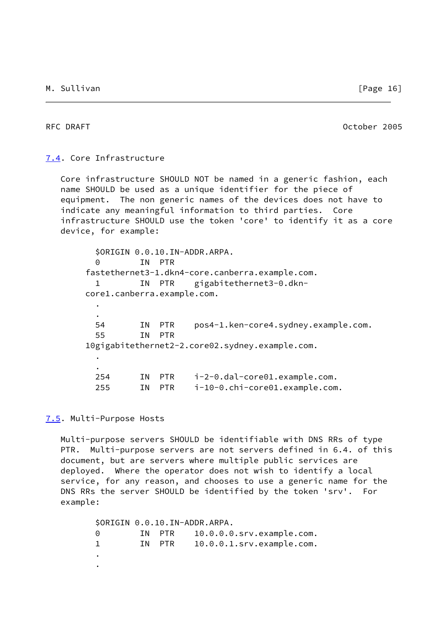<span id="page-18-1"></span>RFC DRAFT CONSERVERS AND RECORD CONSERVERS AND DELAND OCTOber 2005

## <span id="page-18-0"></span>[7.4](#page-18-0). Core Infrastructure

 Core infrastructure SHOULD NOT be named in a generic fashion, each name SHOULD be used as a unique identifier for the piece of equipment. The non generic names of the devices does not have to indicate any meaningful information to third parties. Core infrastructure SHOULD use the token 'core' to identify it as a core device, for example:

| 0   |     |            |                                                                        |
|-----|-----|------------|------------------------------------------------------------------------|
|     |     |            | fastethernet3-1.dkn4-core.canberra.example.com.                        |
|     |     |            | IN PTR gigabitethernet3-0.dkn-                                         |
|     |     |            |                                                                        |
|     |     |            |                                                                        |
|     |     |            |                                                                        |
| 54  | ΙN  | <b>PTR</b> | pos4-1.ken-core4.sydney.example.com.                                   |
| 55  | ΙN. | <b>PTR</b> |                                                                        |
|     |     |            | 10gigabitethernet2-2.core02.sydney.example.com.                        |
|     |     |            |                                                                        |
|     |     |            |                                                                        |
| 254 | ΙN  | <b>PTR</b> | i-2-0.dal-core01.example.com.                                          |
| 255 | ΙN  | <b>PTR</b> | i-10-0.chi-core01.example.com.                                         |
|     |     |            | \$ORIGIN 0.0.10.IN-ADDR.ARPA.<br>IN PTR<br>corel.canberra.example.com. |

## <span id="page-18-2"></span>[7.5](#page-18-2). Multi-Purpose Hosts

 Multi-purpose servers SHOULD be identifiable with DNS RRs of type PTR. Multi-purpose servers are not servers defined in 6.4. of this document, but are servers where multiple public services are deployed. Where the operator does not wish to identify a local service, for any reason, and chooses to use a generic name for the DNS RRs the server SHOULD be identified by the token 'srv'. For example:

 \$ORIGIN 0.0.10.IN-ADDR.ARPA. 0 IN PTR 10.0.0.0.srv.example.com. 1 IN PTR 10.0.0.1.srv.example.com. . .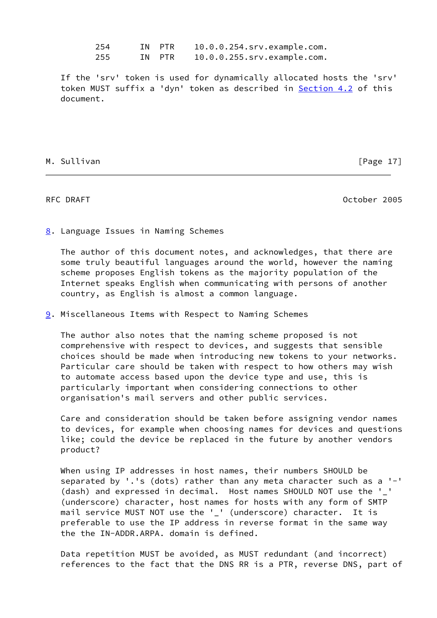254 IN PTR 10.0.0.254.srv.example.com. 255 IN PTR 10.0.0.255.srv.example.com.

 If the 'srv' token is used for dynamically allocated hosts the 'srv' token MUST suffix a 'dyn' token as described in **Section 4.2** of this document.

### M. Sullivan [Page 17]

<span id="page-19-1"></span>RFC DRAFT October 2005

<span id="page-19-0"></span>[8](#page-19-0). Language Issues in Naming Schemes

 The author of this document notes, and acknowledges, that there are some truly beautiful languages around the world, however the naming scheme proposes English tokens as the majority population of the Internet speaks English when communicating with persons of another country, as English is almost a common language.

<span id="page-19-2"></span>[9](#page-19-2). Miscellaneous Items with Respect to Naming Schemes

 The author also notes that the naming scheme proposed is not comprehensive with respect to devices, and suggests that sensible choices should be made when introducing new tokens to your networks. Particular care should be taken with respect to how others may wish to automate access based upon the device type and use, this is particularly important when considering connections to other organisation's mail servers and other public services.

 Care and consideration should be taken before assigning vendor names to devices, for example when choosing names for devices and questions like; could the device be replaced in the future by another vendors product?

 When using IP addresses in host names, their numbers SHOULD be separated by '.'s (dots) rather than any meta character such as a '-' (dash) and expressed in decimal. Host names SHOULD NOT use the '\_' (underscore) character, host names for hosts with any form of SMTP mail service MUST NOT use the ' ' (underscore) character. It is preferable to use the IP address in reverse format in the same way the the IN-ADDR.ARPA. domain is defined.

 Data repetition MUST be avoided, as MUST redundant (and incorrect) references to the fact that the DNS RR is a PTR, reverse DNS, part of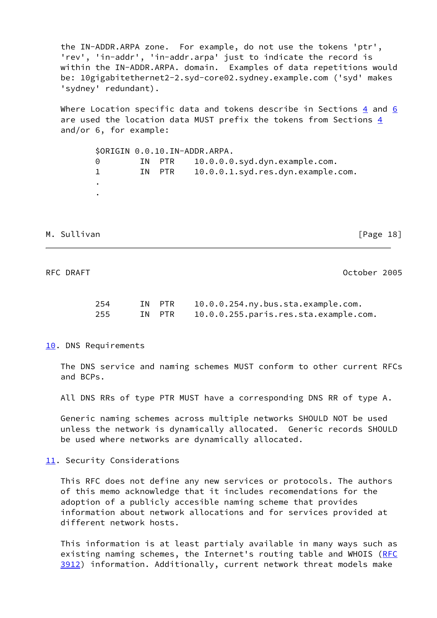the IN-ADDR.ARPA zone. For example, do not use the tokens 'ptr', 'rev', 'in-addr', 'in-addr.arpa' just to indicate the record is within the IN-ADDR.ARPA. domain. Examples of data repetitions would be: 10gigabitethernet2-2.syd-core02.sydney.example.com ('syd' makes 'sydney' redundant).

 Where Location specific data and tokens describe in Sections [4](#page-4-0) and [6](#page-12-0) are used the location data MUST prefix the tokens from Sections [4](#page-4-0) and/or 6, for example:

 \$ORIGIN 0.0.10.IN-ADDR.ARPA. 0 IN PTR 10.0.0.0.syd.dyn.example.com. 1 IN PTR 10.0.0.1.syd.res.dyn.example.com. . .

M. Sullivan **Manufather Community** Change 18 and The Community Change 18 and The Community Change 18 and Change 18 and Change 18 and Change 18 and Change 18 and Change 18 and Change 18 and Change 18 and Change 18 and Chang

<span id="page-20-1"></span>RFC DRAFT October 2005

| 254   | IN PTR | 10.0.0.254.ny.bus.sta.example.com.    |
|-------|--------|---------------------------------------|
| 255 — | IN PTR | 10.0.0.255.paris.res.sta.example.com. |

### <span id="page-20-0"></span>[10.](#page-20-0) DNS Requirements

 The DNS service and naming schemes MUST conform to other current RFCs and BCPs.

All DNS RRs of type PTR MUST have a corresponding DNS RR of type A.

 Generic naming schemes across multiple networks SHOULD NOT be used unless the network is dynamically allocated. Generic records SHOULD be used where networks are dynamically allocated.

### <span id="page-20-2"></span>[11.](#page-20-2) Security Considerations

 This RFC does not define any new services or protocols. The authors of this memo acknowledge that it includes recomendations for the adoption of a publicly accesible naming scheme that provides information about network allocations and for services provided at different network hosts.

 This information is at least partialy available in many ways such as existing naming schemes, the Internet's routing table and WHOIS [\(RFC](https://datatracker.ietf.org/doc/pdf/rfc3912) [3912](https://datatracker.ietf.org/doc/pdf/rfc3912)) information. Additionally, current network threat models make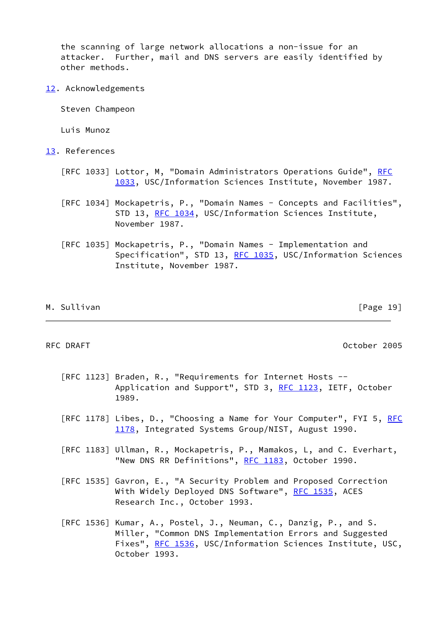the scanning of large network allocations a non-issue for an attacker. Further, mail and DNS servers are easily identified by other methods.

<span id="page-21-0"></span>[12.](#page-21-0) Acknowledgements

Steven Champeon

Luis Munoz

- <span id="page-21-1"></span>[13.](#page-21-1) References
	- [RFC 1033] Lottor, M, "Domain Administrators Operations Guide", [RFC](https://datatracker.ietf.org/doc/pdf/rfc1033) [1033,](https://datatracker.ietf.org/doc/pdf/rfc1033) USC/Information Sciences Institute, November 1987.
	- [RFC 1034] Mockapetris, P., "Domain Names Concepts and Facilities", STD 13, [RFC 1034,](https://datatracker.ietf.org/doc/pdf/rfc1034) USC/Information Sciences Institute, November 1987.
	- [RFC 1035] Mockapetris, P., "Domain Names Implementation and Specification", STD 13, [RFC 1035,](https://datatracker.ietf.org/doc/pdf/rfc1035) USC/Information Sciences Institute, November 1987.

| М. |  |  |  | Sullivan |  |
|----|--|--|--|----------|--|
|    |  |  |  |          |  |

<span id="page-21-2"></span>RFC DRAFT October 2005

 $[Page 19]$ 

- [RFC 1123] Braden, R., "Requirements for Internet Hosts -- Application and Support", STD 3, [RFC 1123,](https://datatracker.ietf.org/doc/pdf/rfc1123) IETF, October 1989.
- [RFC 1178] Libes, D., "Choosing a Name for Your Computer", FYI 5, [RFC](https://datatracker.ietf.org/doc/pdf/rfc1178) [1178,](https://datatracker.ietf.org/doc/pdf/rfc1178) Integrated Systems Group/NIST, August 1990.
- [RFC 1183] Ullman, R., Mockapetris, P., Mamakos, L, and C. Everhart, "New DNS RR Definitions", [RFC 1183](https://datatracker.ietf.org/doc/pdf/rfc1183), October 1990.
- [RFC 1535] Gavron, E., "A Security Problem and Proposed Correction With Widely Deployed DNS Software", [RFC 1535,](https://datatracker.ietf.org/doc/pdf/rfc1535) ACES Research Inc., October 1993.
- [RFC 1536] Kumar, A., Postel, J., Neuman, C., Danzig, P., and S. Miller, "Common DNS Implementation Errors and Suggested Fixes", [RFC 1536,](https://datatracker.ietf.org/doc/pdf/rfc1536) USC/Information Sciences Institute, USC, October 1993.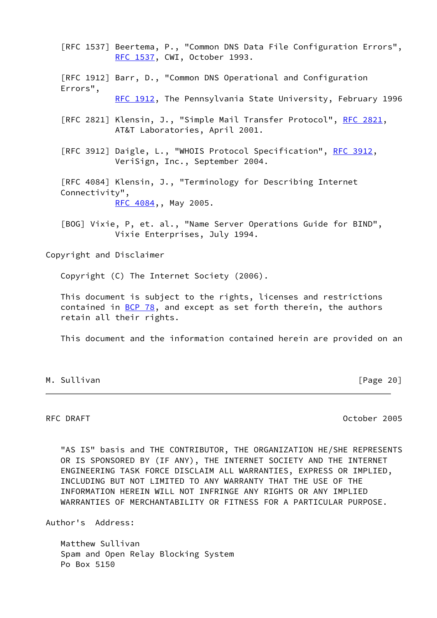[RFC 1537] Beertema, P., "Common DNS Data File Configuration Errors", [RFC 1537,](https://datatracker.ietf.org/doc/pdf/rfc1537) CWI, October 1993.

 [RFC 1912] Barr, D., "Common DNS Operational and Configuration Errors",

[RFC 1912,](https://datatracker.ietf.org/doc/pdf/rfc1912) The Pennsylvania State University, February 1996

[RFC 2821] Klensin, J., "Simple Mail Transfer Protocol", [RFC 2821](https://datatracker.ietf.org/doc/pdf/rfc2821), AT&T Laboratories, April 2001.

[RFC 3912] Daigle, L., "WHOIS Protocol Specification", [RFC 3912,](https://datatracker.ietf.org/doc/pdf/rfc3912) VeriSign, Inc., September 2004.

 [RFC 4084] Klensin, J., "Terminology for Describing Internet Connectivity", [RFC 4084,](https://datatracker.ietf.org/doc/pdf/rfc4084), May 2005.

 [BOG] Vixie, P, et. al., "Name Server Operations Guide for BIND", Vixie Enterprises, July 1994.

Copyright and Disclaimer

Copyright (C) The Internet Society (2006).

 This document is subject to the rights, licenses and restrictions contained in  $BCP$  78, and except as set forth therein, the authors retain all their rights.

This document and the information contained herein are provided on an

## M. Sullivan **Manufather Community** Change 201

<span id="page-22-0"></span>RFC DRAFT October 2005

 "AS IS" basis and THE CONTRIBUTOR, THE ORGANIZATION HE/SHE REPRESENTS OR IS SPONSORED BY (IF ANY), THE INTERNET SOCIETY AND THE INTERNET ENGINEERING TASK FORCE DISCLAIM ALL WARRANTIES, EXPRESS OR IMPLIED, INCLUDING BUT NOT LIMITED TO ANY WARRANTY THAT THE USE OF THE INFORMATION HEREIN WILL NOT INFRINGE ANY RIGHTS OR ANY IMPLIED WARRANTIES OF MERCHANTABILITY OR FITNESS FOR A PARTICULAR PURPOSE.

Author's Address:

 Matthew Sullivan Spam and Open Relay Blocking System Po Box 5150